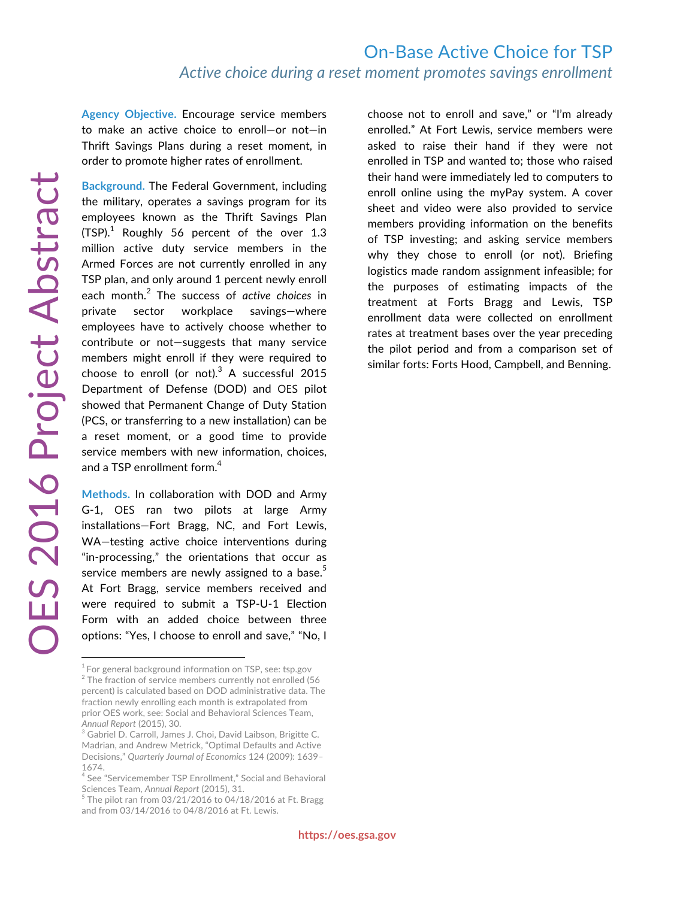**Agency Objective.** Encourage service members to make an active choice to enroll—or not—in Thrift Savings Plans during a reset moment, in order to promote higher rates of enrollment.

**Background.** The Federal Government, including the military, operates a savings program for its employees known as the Thrift Savings Plan (TSP). $^1$  Roughly 56 percent of the over 1.3 million active duty service members in the Armed Forces are not currently enrolled in any TSP plan, and only around 1 percent newly enroll each month.<sup>2</sup> The success of *active choices* in private sector workplace savings—where employees have to actively choose whether to contribute or not—suggests that many service members might enroll if they were required to choose to enroll (or not). $^3$  A successful 2015 Department of Defense (DOD) and OES pilot showed that Permanent Change of Duty Station (PCS, or transferring to a new installation) can be a reset moment, or a good time to provide service members with new information, choices, and a TSP enrollment form. $4$ 

**Methods.** In collaboration with DOD and Army G-1, OES ran two pilots at large Army installations—Fort Bragg, NC, and Fort Lewis, WA—testing active choice interventions during "in-processing," the orientations that occur as service members are newly assigned to a base.<sup>5</sup> At Fort Bragg, service members received and were required to submit a TSP-U-1 Election Form with an added choice between three options: "Yes, I choose to enroll and save," "No, I

choose not to enroll and save," or "I'm already enrolled." At Fort Lewis, service members were asked to raise their hand if they were not enrolled in TSP and wanted to; those who raised their hand were immediately led to computers to enroll online using the myPay system. A cover sheet and video were also provided to service members providing information on the benefits of TSP investing; and asking service members why they chose to enroll (or not). Briefing logistics made random assignment infeasible; for the purposes of estimating impacts of the treatment at Forts Bragg and Lewis, TSP enrollment data were collected on enrollment rates at treatment bases over the year preceding the pilot period and from a comparison set of similar forts: Forts Hood, Campbell, and Benning.

 $1$  For general background information on TSP, see: tsp.gov <sup>2</sup> The fraction of service members currently not enrolled (56 percent) is calculated based on DOD administrative data. The fraction newly enrolling each month is extrapolated from prior OES work, see: Social and Behavioral Sciences Team, *Annual Report* (2015), 30.

<sup>&</sup>lt;sup>3</sup> Gabriel D. Carroll, James J. Choi, David Laibson, Brigitte C. Madrian, and Andrew Metrick, "Optimal Defaults and Active Decisions," *Quarterly Journal of Economics* 124 (2009): 1639– 1674.

<sup>&</sup>lt;sup>4</sup> See "Servicemember TSP Enrollment," Social and Behavioral Sciences Team, *Annual Report* (2015), 31.

 $5$  The pilot ran from 03/21/2016 to 04/18/2016 at Ft. Bragg and from 03/14/2016 to 04/8/2016 at Ft. Lewis.